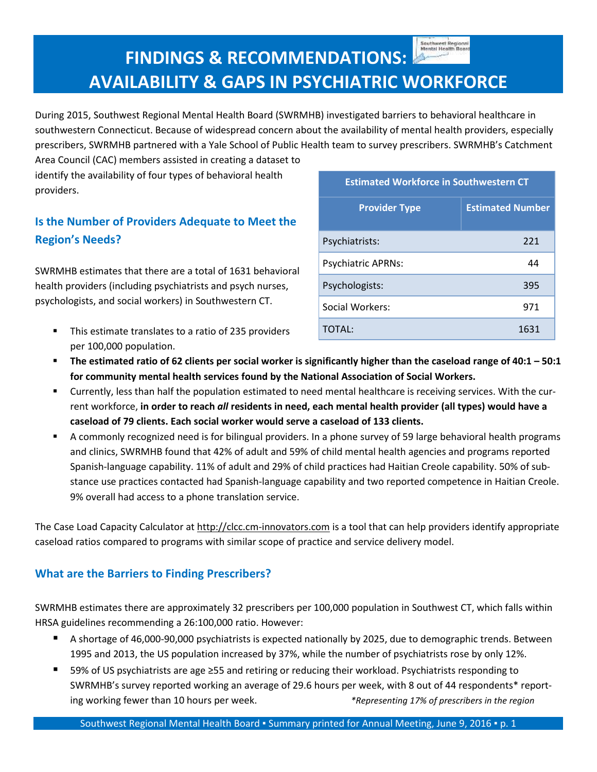Southwest Regional<br>Mental Health Board

## **FINDINGS & RECOMMENDATIONS: AVAILABILITY & GAPS IN PSYCHIATRIC WORKFORCE**

During 2015, Southwest Regional Mental Health Board (SWRMHB) investigated barriers to behavioral healthcare in southwestern Connecticut. Because of widespread concern about the availability of mental health providers, especially prescribers, SWRMHB partnered with a Yale School of Public Health team to survey prescribers. SWRMHB's Catchment

Area Council (CAC) members assisted in creating a dataset to identify the availability of four types of behavioral health providers.

## **Is the Number of Providers Adequate to Meet the Region's Needs?**

SWRMHB estimates that there are a total of 1631 behavioral health providers (including psychiatrists and psych nurses, psychologists, and social workers) in Southwestern CT.

 This estimate translates to a ratio of 235 providers per 100,000 population.

| <b>Estimated Workforce in Southwestern CT</b> |                         |
|-----------------------------------------------|-------------------------|
| <b>Provider Type</b>                          | <b>Estimated Number</b> |
| Psychiatrists:                                | 221                     |
| <b>Psychiatric APRNs:</b>                     | 44                      |
| Psychologists:                                | 395                     |
| Social Workers:                               | 971                     |
| TOTAL:                                        | 1631                    |

- The estimated ratio of 62 clients per social worker is significantly higher than the caseload range of  $40:1 50:1$ **for community mental health services found by the National Association of Social Workers.**
- Currently, less than half the population estimated to need mental healthcare is receiving services. With the current workforce, in order to reach all residents in need, each mental health provider (all types) would have a **caseload of 79 clients. Each social worker would serve a caseload of 133 clients.**
- A commonly recognized need is for bilingual providers. In a phone survey of 59 large behavioral health programs and clinics, SWRMHB found that 42% of adult and 59% of child mental health agencies and programs reported Spanish-language capability. 11% of adult and 29% of child practices had Haitian Creole capability. 50% of substance use practices contacted had Spanish-language capability and two reported competence in Haitian Creole. 9% overall had access to a phone translation service.

The Case Load Capacity Calculator at [http://clcc.cm-innovators.com](http://clcc.cm-innovators.com/) is a tool that can help providers identify appropriate caseload ratios compared to programs with similar scope of practice and service delivery model.

## **What are the Barriers to Finding Prescribers?**

SWRMHB estimates there are approximately 32 prescribers per 100,000 population in Southwest CT, which falls within HRSA guidelines recommending a 26:100,000 ratio. However:

- A shortage of 46,000-90,000 psychiatrists is expected nationally by 2025, due to demographic trends. Between 1995 and 2013, the US population increased by 37%, while the number of psychiatrists rose by only 12%.
- 59% of US psychiatrists are age ≥55 and retiring or reducing their workload. Psychiatrists responding to SWRMHB's survey reported working an average of 29.6 hours per week, with 8 out of 44 respondents\* reporting working fewer than 10 hours per week. *\*Representing 17% of prescribers in the region*